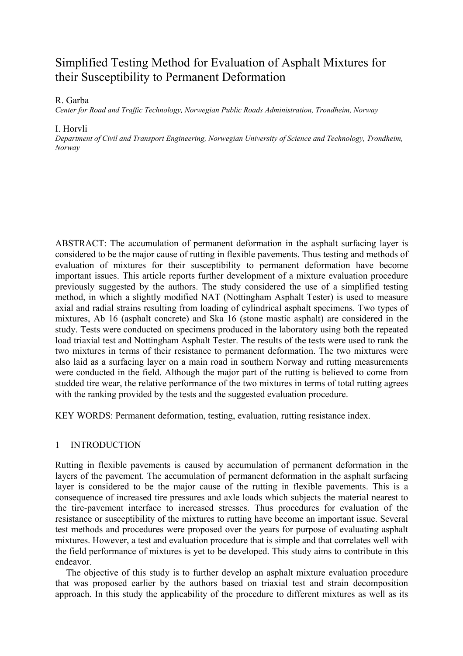# Simplified Testing Method for Evaluation of Asphalt Mixtures for their Susceptibility to Permanent Deformation

R. Garba

*Center for Road and Traffic Technology, Norwegian Public Roads Administration, Trondheim, Norway* 

## I. Horvli

*Department of Civil and Transport Engineering, Norwegian University of Science and Technology, Trondheim, Norway* 

ABSTRACT: The accumulation of permanent deformation in the asphalt surfacing layer is considered to be the major cause of rutting in flexible pavements. Thus testing and methods of evaluation of mixtures for their susceptibility to permanent deformation have become important issues. This article reports further development of a mixture evaluation procedure previously suggested by the authors. The study considered the use of a simplified testing method, in which a slightly modified NAT (Nottingham Asphalt Tester) is used to measure axial and radial strains resulting from loading of cylindrical asphalt specimens. Two types of mixtures, Ab 16 (asphalt concrete) and Ska 16 (stone mastic asphalt) are considered in the study. Tests were conducted on specimens produced in the laboratory using both the repeated load triaxial test and Nottingham Asphalt Tester. The results of the tests were used to rank the two mixtures in terms of their resistance to permanent deformation. The two mixtures were also laid as a surfacing layer on a main road in southern Norway and rutting measurements were conducted in the field. Although the major part of the rutting is believed to come from studded tire wear, the relative performance of the two mixtures in terms of total rutting agrees with the ranking provided by the tests and the suggested evaluation procedure.

KEY WORDS: Permanent deformation, testing, evaluation, rutting resistance index.

# 1 INTRODUCTION

Rutting in flexible pavements is caused by accumulation of permanent deformation in the layers of the pavement. The accumulation of permanent deformation in the asphalt surfacing layer is considered to be the major cause of the rutting in flexible pavements. This is a consequence of increased tire pressures and axle loads which subjects the material nearest to the tire-pavement interface to increased stresses. Thus procedures for evaluation of the resistance or susceptibility of the mixtures to rutting have become an important issue. Several test methods and procedures were proposed over the years for purpose of evaluating asphalt mixtures. However, a test and evaluation procedure that is simple and that correlates well with the field performance of mixtures is yet to be developed. This study aims to contribute in this endeavor.

The objective of this study is to further develop an asphalt mixture evaluation procedure that was proposed earlier by the authors based on triaxial test and strain decomposition approach. In this study the applicability of the procedure to different mixtures as well as its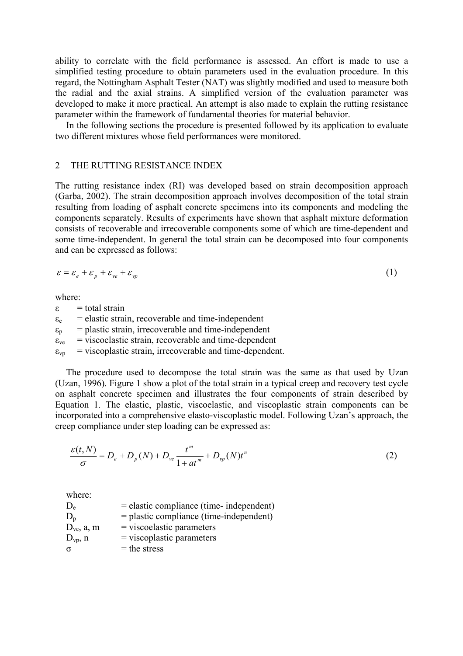ability to correlate with the field performance is assessed. An effort is made to use a simplified testing procedure to obtain parameters used in the evaluation procedure. In this regard, the Nottingham Asphalt Tester (NAT) was slightly modified and used to measure both the radial and the axial strains. A simplified version of the evaluation parameter was developed to make it more practical. An attempt is also made to explain the rutting resistance parameter within the framework of fundamental theories for material behavior.

In the following sections the procedure is presented followed by its application to evaluate two different mixtures whose field performances were monitored.

#### 2 THE RUTTING RESISTANCE INDEX

The rutting resistance index (RI) was developed based on strain decomposition approach (Garba, 2002). The strain decomposition approach involves decomposition of the total strain resulting from loading of asphalt concrete specimens into its components and modeling the components separately. Results of experiments have shown that asphalt mixture deformation consists of recoverable and irrecoverable components some of which are time-dependent and some time-independent. In general the total strain can be decomposed into four components and can be expressed as follows:

$$
\varepsilon = \varepsilon_e + \varepsilon_p + \varepsilon_{ve} + \varepsilon_{vp} \tag{1}
$$

where:

 $\epsilon$  = total strain  $\varepsilon_e$  = elastic strain, recoverable and time-independent  $\varepsilon_p$  = plastic strain, irrecoverable and time-independent  $\epsilon_{ve}$  = viscoelastic strain, recoverable and time-dependent  $\varepsilon_{\text{vp}}$  = viscoplastic strain, irrecoverable and time-dependent.

The procedure used to decompose the total strain was the same as that used by Uzan (Uzan, 1996). Figure 1 show a plot of the total strain in a typical creep and recovery test cycle on asphalt concrete specimen and illustrates the four components of strain described by Equation 1. The elastic, plastic, viscoelastic, and viscoplastic strain components can be incorporated into a comprehensive elasto-viscoplastic model. Following Uzan's approach, the creep compliance under step loading can be expressed as:

$$
\frac{\varepsilon(t, N)}{\sigma} = D_e + D_p(N) + D_{ve} \frac{t^m}{1 + at^m} + D_{vp}(N)t^n
$$
 (2)

where:

 $D_e$  = elastic compliance (time- independent)  $D_p$  = plastic compliance (time-independent)  $D_{ve}$ , a, m = viscoelastic parameters  $D_{vp}$ , n = viscoplastic parameters  $\sigma$  = the stress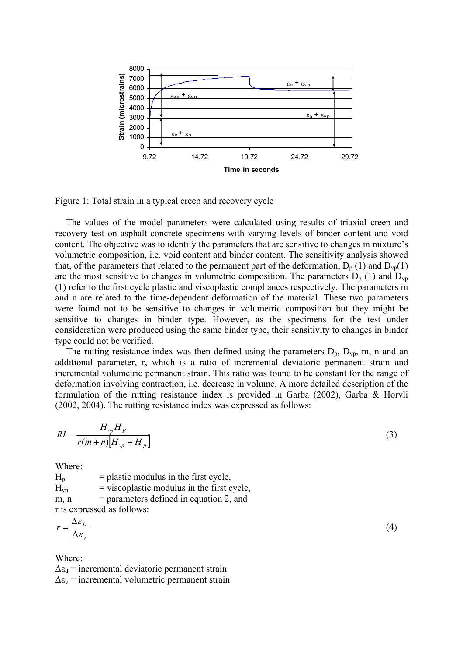

Figure 1: Total strain in a typical creep and recovery cycle

The values of the model parameters were calculated using results of triaxial creep and recovery test on asphalt concrete specimens with varying levels of binder content and void content. The objective was to identify the parameters that are sensitive to changes in mixture's volumetric composition, i.e. void content and binder content. The sensitivity analysis showed that, of the parameters that related to the permanent part of the deformation,  $D_p(1)$  and  $D_{vp}(1)$ are the most sensitive to changes in volumetric composition. The parameters  $D_p$  (1) and  $D_{vp}$ (1) refer to the first cycle plastic and viscoplastic compliances respectively. The parameters m and n are related to the time-dependent deformation of the material. These two parameters were found not to be sensitive to changes in volumetric composition but they might be sensitive to changes in binder type. However, as the specimens for the test under consideration were produced using the same binder type, their sensitivity to changes in binder type could not be verified.

The rutting resistance index was then defined using the parameters  $D_p$ ,  $D_{vp}$ , m, n and an additional parameter, r, which is a ratio of incremental deviatoric permanent strain and incremental volumetric permanent strain. This ratio was found to be constant for the range of deformation involving contraction, i.e. decrease in volume. A more detailed description of the formulation of the rutting resistance index is provided in Garba (2002), Garba & Horvli (2002, 2004). The rutting resistance index was expressed as follows:

$$
RI = \frac{H_{vp} H_p}{r(m+n)[H_{vp} + H_p]}
$$
 (3)

Where:

 $H_p$  = plastic modulus in the first cycle,  $H_{\text{vp}}$  = viscoplastic modulus in the first cycle, m,  $n$  = parameters defined in equation 2, and r is expressed as follows:

$$
r = \frac{\Delta \varepsilon_{D}}{\Delta \varepsilon_{v}} \tag{4}
$$

Where:

 $\Delta \varepsilon_d$  = incremental deviatoric permanent strain  $\Delta \varepsilon_{v}$  = incremental volumetric permanent strain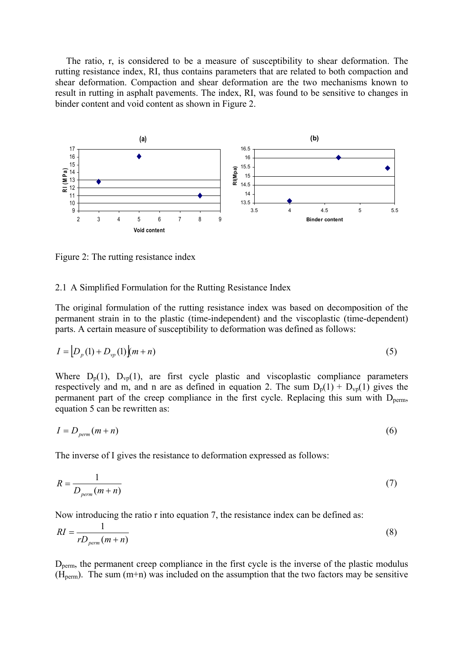The ratio, r, is considered to be a measure of susceptibility to shear deformation. The rutting resistance index, RI, thus contains parameters that are related to both compaction and shear deformation. Compaction and shear deformation are the two mechanisms known to result in rutting in asphalt pavements. The index, RI, was found to be sensitive to changes in binder content and void content as shown in Figure 2.



Figure 2: The rutting resistance index

## 2.1 A Simplified Formulation for the Rutting Resistance Index

The original formulation of the rutting resistance index was based on decomposition of the permanent strain in to the plastic (time-independent) and the viscoplastic (time-dependent) parts. A certain measure of susceptibility to deformation was defined as follows:

$$
I = [D_p(1) + D_{vp}(1)](m+n)
$$
\n(5)

Where  $D_p(1)$ ,  $D_{vp}(1)$ , are first cycle plastic and viscoplastic compliance parameters respectively and m, and n are as defined in equation 2. The sum  $D_p(1) + D_{vp}(1)$  gives the permanent part of the creep compliance in the first cycle. Replacing this sum with  $D_{\text{perm}}$ , equation 5 can be rewritten as:

$$
I = D_{perm}(m+n) \tag{6}
$$

The inverse of I gives the resistance to deformation expressed as follows:

$$
R = \frac{1}{D_{perm}(m+n)}
$$
(7)

Now introducing the ratio r into equation 7, the resistance index can be defined as:

$$
RI = \frac{1}{rD_{perm}(m+n)}
$$
(8)

 $D_{\text{perm}}$ , the permanent creep compliance in the first cycle is the inverse of the plastic modulus  $(H<sub>perm</sub>)$ . The sum  $(m+n)$  was included on the assumption that the two factors may be sensitive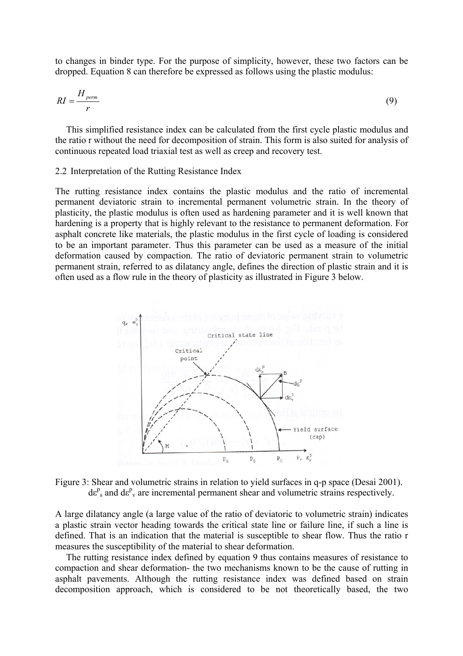to changes in binder type. For the purpose of simplicity, however, these two factors can be dropped. Equation 8 can therefore be expressed as follows using the plastic modulus:

$$
RI = \frac{H_{perm}}{r}
$$
 (9)

This simplified resistance index can be calculated from the first cycle plastic modulus and the ratio r without the need for decomposition of strain. This form is also suited for analysis of continuous repeated load triaxial test as well as creep and recovery test.

#### 2.2 Interpretation of the Rutting Resistance Index

The rutting resistance index contains the plastic modulus and the ratio of incremental permanent deviatoric strain to incremental permanent volumetric strain. In the theory of plasticity, the plastic modulus is often used as hardening parameter and it is well known that hardening is a property that is highly relevant to the resistance to permanent deformation. For asphalt concrete like materials, the plastic modulus in the first cycle of loading is considered to be an important parameter. Thus this parameter can be used as a measure of the initial deformation caused by compaction. The ratio of deviatoric permanent strain to volumetric permanent strain, referred to as dilatancy angle, defines the direction of plastic strain and it is often used as a flow rule in the theory of plasticity as illustrated in Figure 3 below.



Figure 3: Shear and volumetric strains in relation to yield surfaces in q-p space (Desai 2001).  $de^{p}$ <sub>s</sub> and  $de^{p}$ <sub>v</sub> are incremental permanent shear and volumetric strains respectively.

A large dilatancy angle (a large value of the ratio of deviatoric to volumetric strain) indicates a plastic strain vector heading towards the critical state line or failure line, if such a line is defined. That is an indication that the material is susceptible to shear flow. Thus the ratio r measures the susceptibility of the material to shear deformation.

The rutting resistance index defined by equation 9 thus contains measures of resistance to compaction and shear deformation- the two mechanisms known to be the cause of rutting in asphalt pavements. Although the rutting resistance index was defined based on strain decomposition approach, which is considered to be not theoretically based, the two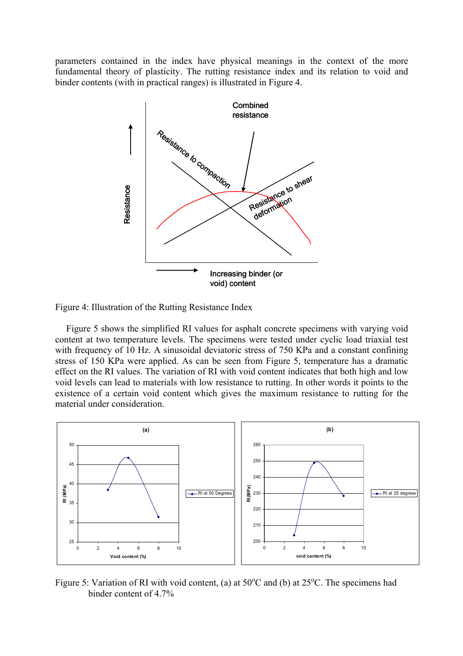parameters contained in the index have physical meanings in the context of the more fundamental theory of plasticity. The rutting resistance index and its relation to void and binder contents (with in practical ranges) is illustrated in Figure 4.



Figure 4: Illustration of the Rutting Resistance Index

Figure 5 shows the simplified RI values for asphalt concrete specimens with varying void content at two temperature levels. The specimens were tested under cyclic load triaxial test with frequency of 10 Hz. A sinusoidal deviatoric stress of 750 KPa and a constant confining stress of 150 KPa were applied. As can be seen from Figure 5, temperature has a dramatic effect on the RI values. The variation of RI with void content indicates that both high and low void levels can lead to materials with low resistance to rutting. In other words it points to the existence of a certain void content which gives the maximum resistance to rutting for the material under consideration.



Figure 5: Variation of RI with void content, (a) at  $50^{\circ}$ C and (b) at  $25^{\circ}$ C. The specimens had binder content of 4.7%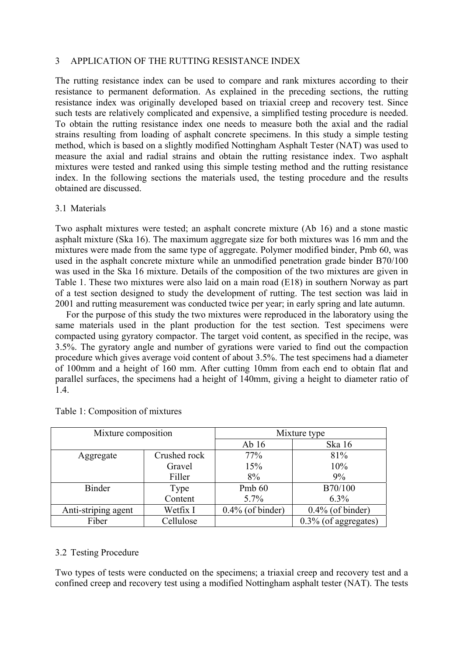## 3 APPLICATION OF THE RUTTING RESISTANCE INDEX

The rutting resistance index can be used to compare and rank mixtures according to their resistance to permanent deformation. As explained in the preceding sections, the rutting resistance index was originally developed based on triaxial creep and recovery test. Since such tests are relatively complicated and expensive, a simplified testing procedure is needed. To obtain the rutting resistance index one needs to measure both the axial and the radial strains resulting from loading of asphalt concrete specimens. In this study a simple testing method, which is based on a slightly modified Nottingham Asphalt Tester (NAT) was used to measure the axial and radial strains and obtain the rutting resistance index. Two asphalt mixtures were tested and ranked using this simple testing method and the rutting resistance index. In the following sections the materials used, the testing procedure and the results obtained are discussed.

## 3.1 Materials

Two asphalt mixtures were tested; an asphalt concrete mixture (Ab 16) and a stone mastic asphalt mixture (Ska 16). The maximum aggregate size for both mixtures was 16 mm and the mixtures were made from the same type of aggregate. Polymer modified binder, Pmb 60, was used in the asphalt concrete mixture while an unmodified penetration grade binder B70/100 was used in the Ska 16 mixture. Details of the composition of the two mixtures are given in Table 1. These two mixtures were also laid on a main road (E18) in southern Norway as part of a test section designed to study the development of rutting. The test section was laid in 2001 and rutting measurement was conducted twice per year; in early spring and late autumn.

For the purpose of this study the two mixtures were reproduced in the laboratory using the same materials used in the plant production for the test section. Test specimens were compacted using gyratory compactor. The target void content, as specified in the recipe, was 3.5%. The gyratory angle and number of gyrations were varied to find out the compaction procedure which gives average void content of about 3.5%. The test specimens had a diameter of 100mm and a height of 160 mm. After cutting 10mm from each end to obtain flat and parallel surfaces, the specimens had a height of 140mm, giving a height to diameter ratio of 1.4.

| Mixture composition |              | Mixture type        |                      |
|---------------------|--------------|---------------------|----------------------|
|                     |              | Ab <sub>16</sub>    | Ska 16               |
| Aggregate           | Crushed rock | 77%                 | 81%                  |
|                     | Gravel       | 15%                 | 10%                  |
|                     | Filler       | 8%                  | 9%                   |
| <b>Binder</b>       | Type         | Pmb 60              | B70/100              |
|                     | Content      | 5.7%                | $6.3\%$              |
| Anti-striping agent | Wetfix I     | $0.4\%$ (of binder) | $0.4\%$ (of binder)  |
| Fiber               | Cellulose    |                     | 0.3% (of aggregates) |

## Table 1: Composition of mixtures

## 3.2 Testing Procedure

Two types of tests were conducted on the specimens; a triaxial creep and recovery test and a confined creep and recovery test using a modified Nottingham asphalt tester (NAT). The tests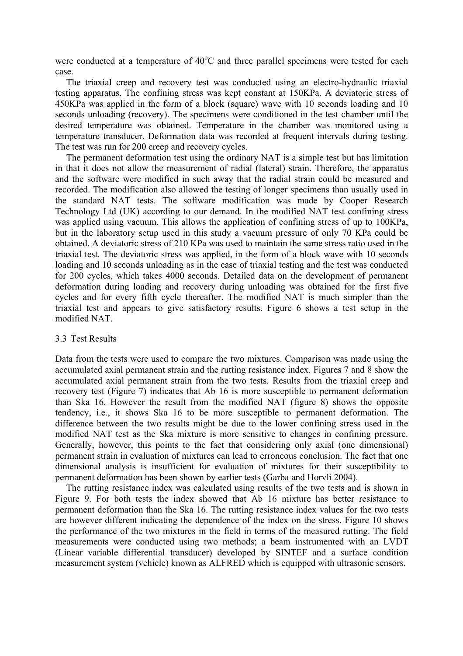were conducted at a temperature of  $40^{\circ}$ C and three parallel specimens were tested for each case.

The triaxial creep and recovery test was conducted using an electro-hydraulic triaxial testing apparatus. The confining stress was kept constant at 150KPa. A deviatoric stress of 450KPa was applied in the form of a block (square) wave with 10 seconds loading and 10 seconds unloading (recovery). The specimens were conditioned in the test chamber until the desired temperature was obtained. Temperature in the chamber was monitored using a temperature transducer. Deformation data was recorded at frequent intervals during testing. The test was run for 200 creep and recovery cycles.

The permanent deformation test using the ordinary NAT is a simple test but has limitation in that it does not allow the measurement of radial (lateral) strain. Therefore, the apparatus and the software were modified in such away that the radial strain could be measured and recorded. The modification also allowed the testing of longer specimens than usually used in the standard NAT tests. The software modification was made by Cooper Research Technology Ltd (UK) according to our demand. In the modified NAT test confining stress was applied using vacuum. This allows the application of confining stress of up to 100KPa, but in the laboratory setup used in this study a vacuum pressure of only 70 KPa could be obtained. A deviatoric stress of 210 KPa was used to maintain the same stress ratio used in the triaxial test. The deviatoric stress was applied, in the form of a block wave with 10 seconds loading and 10 seconds unloading as in the case of triaxial testing and the test was conducted for 200 cycles, which takes 4000 seconds. Detailed data on the development of permanent deformation during loading and recovery during unloading was obtained for the first five cycles and for every fifth cycle thereafter. The modified NAT is much simpler than the triaxial test and appears to give satisfactory results. Figure 6 shows a test setup in the modified NAT.

#### 3.3 Test Results

Data from the tests were used to compare the two mixtures. Comparison was made using the accumulated axial permanent strain and the rutting resistance index. Figures 7 and 8 show the accumulated axial permanent strain from the two tests. Results from the triaxial creep and recovery test (Figure 7) indicates that Ab 16 is more susceptible to permanent deformation than Ska 16. However the result from the modified NAT (figure 8) shows the opposite tendency, i.e., it shows Ska 16 to be more susceptible to permanent deformation. The difference between the two results might be due to the lower confining stress used in the modified NAT test as the Ska mixture is more sensitive to changes in confining pressure. Generally, however, this points to the fact that considering only axial (one dimensional) permanent strain in evaluation of mixtures can lead to erroneous conclusion. The fact that one dimensional analysis is insufficient for evaluation of mixtures for their susceptibility to permanent deformation has been shown by earlier tests (Garba and Horvli 2004).

The rutting resistance index was calculated using results of the two tests and is shown in Figure 9. For both tests the index showed that Ab 16 mixture has better resistance to permanent deformation than the Ska 16. The rutting resistance index values for the two tests are however different indicating the dependence of the index on the stress. Figure 10 shows the performance of the two mixtures in the field in terms of the measured rutting. The field measurements were conducted using two methods; a beam instrumented with an LVDT (Linear variable differential transducer) developed by SINTEF and a surface condition measurement system (vehicle) known as ALFRED which is equipped with ultrasonic sensors.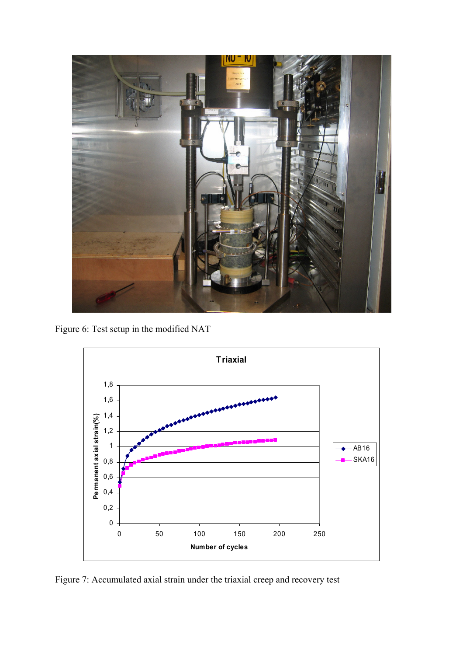

Figure 6: Test setup in the modified NAT



Figure 7: Accumulated axial strain under the triaxial creep and recovery test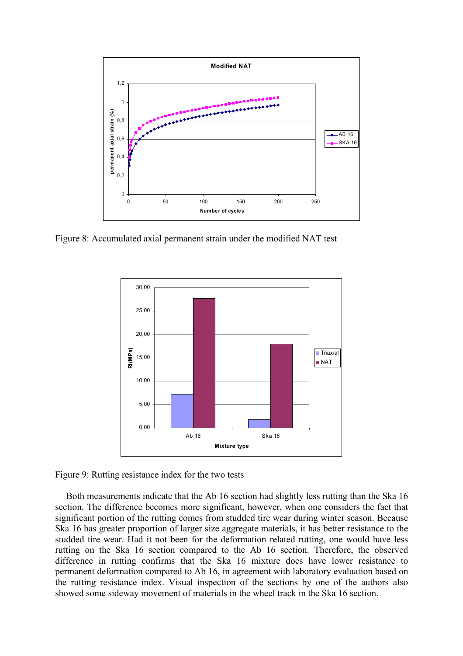

Figure 8: Accumulated axial permanent strain under the modified NAT test



Figure 9: Rutting resistance index for the two tests

Both measurements indicate that the Ab 16 section had slightly less rutting than the Ska 16 section. The difference becomes more significant, however, when one considers the fact that significant portion of the rutting comes from studded tire wear during winter season. Because Ska 16 has greater proportion of larger size aggregate materials, it has better resistance to the studded tire wear. Had it not been for the deformation related rutting, one would have less rutting on the Ska 16 section compared to the Ab 16 section. Therefore, the observed difference in rutting confirms that the Ska 16 mixture does have lower resistance to permanent deformation compared to Ab 16, in agreement with laboratory evaluation based on the rutting resistance index. Visual inspection of the sections by one of the authors also showed some sideway movement of materials in the wheel track in the Ska 16 section.